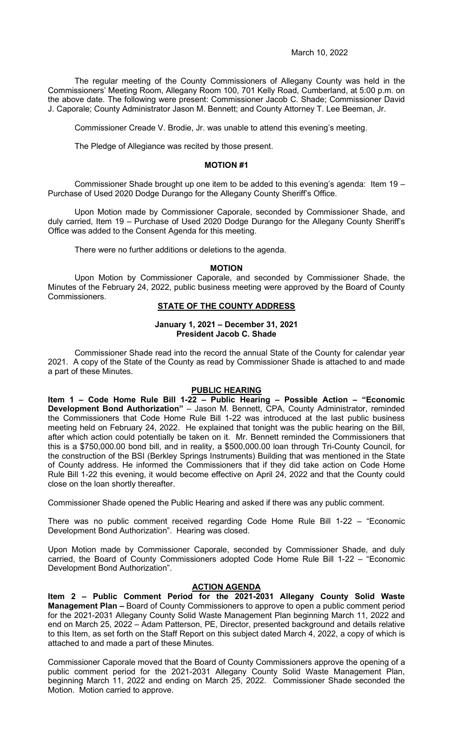The regular meeting of the County Commissioners of Allegany County was held in the Commissioners' Meeting Room, Allegany Room 100, 701 Kelly Road, Cumberland, at 5:00 p.m. on the above date. The following were present: Commissioner Jacob C. Shade; Commissioner David J. Caporale; County Administrator Jason M. Bennett; and County Attorney T. Lee Beeman, Jr.

Commissioner Creade V. Brodie, Jr. was unable to attend this evening's meeting.

The Pledge of Allegiance was recited by those present.

### **MOTION #1**

Commissioner Shade brought up one item to be added to this evening's agenda: Item 19 – Purchase of Used 2020 Dodge Durango for the Allegany County Sheriff's Office.

Upon Motion made by Commissioner Caporale, seconded by Commissioner Shade, and duly carried, Item 19 – Purchase of Used 2020 Dodge Durango for the Allegany County Sheriff's Office was added to the Consent Agenda for this meeting.

There were no further additions or deletions to the agenda.

### **MOTION**

Upon Motion by Commissioner Caporale, and seconded by Commissioner Shade, the Minutes of the February 24, 2022, public business meeting were approved by the Board of County Commissioners.

# **STATE OF THE COUNTY ADDRESS**

# **January 1, 2021 – December 31, 2021 President Jacob C. Shade**

Commissioner Shade read into the record the annual State of the County for calendar year 2021. A copy of the State of the County as read by Commissioner Shade is attached to and made a part of these Minutes.

# **PUBLIC HEARING**

**Item 1 – Code Home Rule Bill 1-22 – Public Hearing – Possible Action – "Economic Development Bond Authorization"** – Jason M. Bennett, CPA, County Administrator, reminded the Commissioners that Code Home Rule Bill 1-22 was introduced at the last public business meeting held on February 24, 2022. He explained that tonight was the public hearing on the Bill, after which action could potentially be taken on it. Mr. Bennett reminded the Commissioners that this is a \$750,000.00 bond bill, and in reality, a \$500,000.00 loan through Tri-County Council, for the construction of the BSI (Berkley Springs Instruments) Building that was mentioned in the State of County address. He informed the Commissioners that if they did take action on Code Home Rule Bill 1-22 this evening, it would become effective on April 24, 2022 and that the County could close on the loan shortly thereafter.

Commissioner Shade opened the Public Hearing and asked if there was any public comment.

There was no public comment received regarding Code Home Rule Bill 1-22 – "Economic Development Bond Authorization". Hearing was closed.

Upon Motion made by Commissioner Caporale, seconded by Commissioner Shade, and duly carried, the Board of County Commissioners adopted Code Home Rule Bill 1-22 – "Economic Development Bond Authorization".

# **ACTION AGENDA**

**Item 2 – Public Comment Period for the 2021-2031 Allegany County Solid Waste Management Plan –** Board of County Commissioners to approve to open a public comment period for the 2021-2031 Allegany County Solid Waste Management Plan beginning March 11, 2022 and end on March 25, 2022 – Adam Patterson, PE, Director, presented background and details relative to this Item, as set forth on the Staff Report on this subject dated March 4, 2022, a copy of which is attached to and made a part of these Minutes.

Commissioner Caporale moved that the Board of County Commissioners approve the opening of a public comment period for the 2021-2031 Allegany County Solid Waste Management Plan, beginning March 11, 2022 and ending on March 25, 2022. Commissioner Shade seconded the Motion. Motion carried to approve.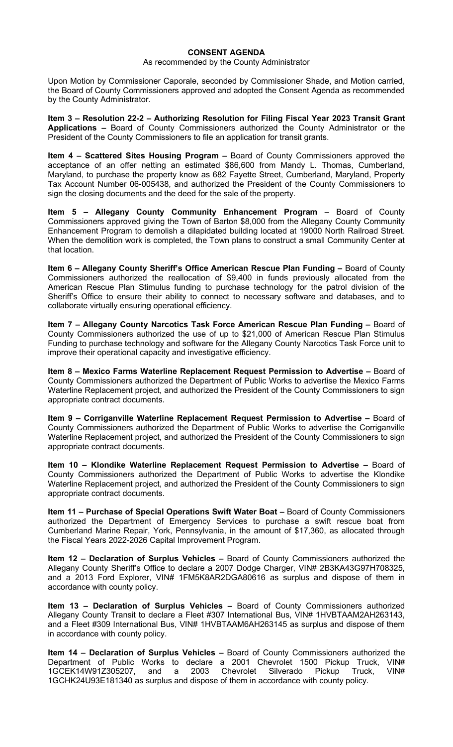# **CONSENT AGENDA**

As recommended by the County Administrator

Upon Motion by Commissioner Caporale, seconded by Commissioner Shade, and Motion carried, the Board of County Commissioners approved and adopted the Consent Agenda as recommended by the County Administrator.

**Item 3 – Resolution 22-2 – Authorizing Resolution for Filing Fiscal Year 2023 Transit Grant Applications –** Board of County Commissioners authorized the County Administrator or the President of the County Commissioners to file an application for transit grants.

**Item 4 – Scattered Sites Housing Program –** Board of County Commissioners approved the acceptance of an offer netting an estimated \$86,600 from Mandy L. Thomas, Cumberland, Maryland, to purchase the property know as 682 Fayette Street, Cumberland, Maryland, Property Tax Account Number 06-005438, and authorized the President of the County Commissioners to sign the closing documents and the deed for the sale of the property.

**Item 5 – Allegany County Community Enhancement Program** – Board of County Commissioners approved giving the Town of Barton \$8,000 from the Allegany County Community Enhancement Program to demolish a dilapidated building located at 19000 North Railroad Street. When the demolition work is completed, the Town plans to construct a small Community Center at that location.

**Item 6 – Allegany County Sheriff's Office American Rescue Plan Funding –** Board of County Commissioners authorized the reallocation of \$9,400 in funds previously allocated from the American Rescue Plan Stimulus funding to purchase technology for the patrol division of the Sheriff's Office to ensure their ability to connect to necessary software and databases, and to collaborate virtually ensuring operational efficiency.

**Item 7 – Allegany County Narcotics Task Force American Rescue Plan Funding –** Board of County Commissioners authorized the use of up to \$21,000 of American Rescue Plan Stimulus Funding to purchase technology and software for the Allegany County Narcotics Task Force unit to improve their operational capacity and investigative efficiency.

**Item 8 – Mexico Farms Waterline Replacement Request Permission to Advertise –** Board of County Commissioners authorized the Department of Public Works to advertise the Mexico Farms Waterline Replacement project, and authorized the President of the County Commissioners to sign appropriate contract documents.

**Item 9 – Corriganville Waterline Replacement Request Permission to Advertise –** Board of County Commissioners authorized the Department of Public Works to advertise the Corriganville Waterline Replacement project, and authorized the President of the County Commissioners to sign appropriate contract documents.

**Item 10 – Klondike Waterline Replacement Request Permission to Advertise –** Board of County Commissioners authorized the Department of Public Works to advertise the Klondike Waterline Replacement project, and authorized the President of the County Commissioners to sign appropriate contract documents.

**Item 11 – Purchase of Special Operations Swift Water Boat –** Board of County Commissioners authorized the Department of Emergency Services to purchase a swift rescue boat from Cumberland Marine Repair, York, Pennsylvania, in the amount of \$17,360, as allocated through the Fiscal Years 2022-2026 Capital Improvement Program.

**Item 12 – Declaration of Surplus Vehicles –** Board of County Commissioners authorized the Allegany County Sheriff's Office to declare a 2007 Dodge Charger, VIN# 2B3KA43G97H708325, and a 2013 Ford Explorer, VIN# 1FM5K8AR2DGA80616 as surplus and dispose of them in accordance with county policy.

**Item 13 – Declaration of Surplus Vehicles –** Board of County Commissioners authorized Allegany County Transit to declare a Fleet #307 International Bus, VIN# 1HVBTAAM2AH263143, and a Fleet #309 International Bus, VIN# 1HVBTAAM6AH263145 as surplus and dispose of them in accordance with county policy.

**Item 14 – Declaration of Surplus Vehicles –** Board of County Commissioners authorized the Department of Public Works to declare a 2001 Chevrolet 1500 Pickup Truck, VIN#<br>1GCEK14W91Z305207, and a 2003 Chevrolet Silverado Pickup Truck, VIN# 1GCEK14W91Z305207, and a 2003 Chevrolet Silverado Pickup Truck, VIN# 1GCHK24U93E181340 as surplus and dispose of them in accordance with county policy.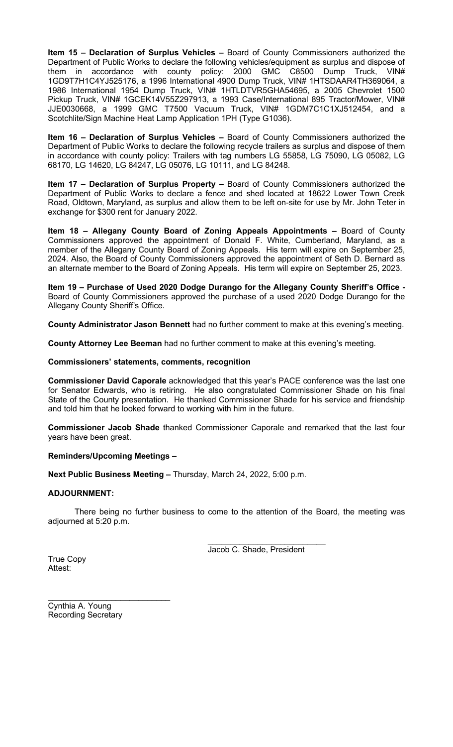**Item 15 – Declaration of Surplus Vehicles –** Board of County Commissioners authorized the Department of Public Works to declare the following vehicles/equipment as surplus and dispose of them in accordance with county policy: 2000 GMC C8500 Dump Truck, VIN# 1GD9T7H1C4YJ525176, a 1996 International 4900 Dump Truck, VIN# 1HTSDAAR4TH369064, a 1986 International 1954 Dump Truck, VIN# 1HTLDTVR5GHA54695, a 2005 Chevrolet 1500 Pickup Truck, VIN# 1GCEK14V55Z297913, a 1993 Case/International 895 Tractor/Mower, VIN# JJE0030668, a 1999 GMC T7500 Vacuum Truck, VIN# 1GDM7C1C1XJ512454, and a Scotchlite/Sign Machine Heat Lamp Application 1PH (Type G1036).

**Item 16 – Declaration of Surplus Vehicles –** Board of County Commissioners authorized the Department of Public Works to declare the following recycle trailers as surplus and dispose of them in accordance with county policy: Trailers with tag numbers LG 55858, LG 75090, LG 05082, LG 68170, LG 14620, LG 84247, LG 05076, LG 10111, and LG 84248.

**Item 17 – Declaration of Surplus Property –** Board of County Commissioners authorized the Department of Public Works to declare a fence and shed located at 18622 Lower Town Creek Road, Oldtown, Maryland, as surplus and allow them to be left on-site for use by Mr. John Teter in exchange for \$300 rent for January 2022.

**Item 18 – Allegany County Board of Zoning Appeals Appointments –** Board of County Commissioners approved the appointment of Donald F. White, Cumberland, Maryland, as a member of the Allegany County Board of Zoning Appeals. His term will expire on September 25, 2024. Also, the Board of County Commissioners approved the appointment of Seth D. Bernard as an alternate member to the Board of Zoning Appeals. His term will expire on September 25, 2023.

**Item 19 – Purchase of Used 2020 Dodge Durango for the Allegany County Sheriff's Office -** Board of County Commissioners approved the purchase of a used 2020 Dodge Durango for the Allegany County Sheriff's Office.

**County Administrator Jason Bennett** had no further comment to make at this evening's meeting.

**County Attorney Lee Beeman** had no further comment to make at this evening's meeting.

# **Commissioners' statements, comments, recognition**

**Commissioner David Caporale** acknowledged that this year's PACE conference was the last one for Senator Edwards, who is retiring. He also congratulated Commissioner Shade on his final State of the County presentation. He thanked Commissioner Shade for his service and friendship and told him that he looked forward to working with him in the future.

**Commissioner Jacob Shade** thanked Commissioner Caporale and remarked that the last four years have been great.

# **Reminders/Upcoming Meetings –**

**Next Public Business Meeting –** Thursday, March 24, 2022, 5:00 p.m.

# **ADJOURNMENT:**

There being no further business to come to the attention of the Board, the meeting was adjourned at 5:20 p.m.

> $\overline{\phantom{a}}$  , which is a set of the set of the set of the set of the set of the set of the set of the set of the set of the set of the set of the set of the set of the set of the set of the set of the set of the set of th Jacob C. Shade, President

True Copy Attest<sup>.</sup>

Cynthia A. Young Recording Secretary

 $\overline{\phantom{a}}$  , where  $\overline{\phantom{a}}$  , where  $\overline{\phantom{a}}$  , where  $\overline{\phantom{a}}$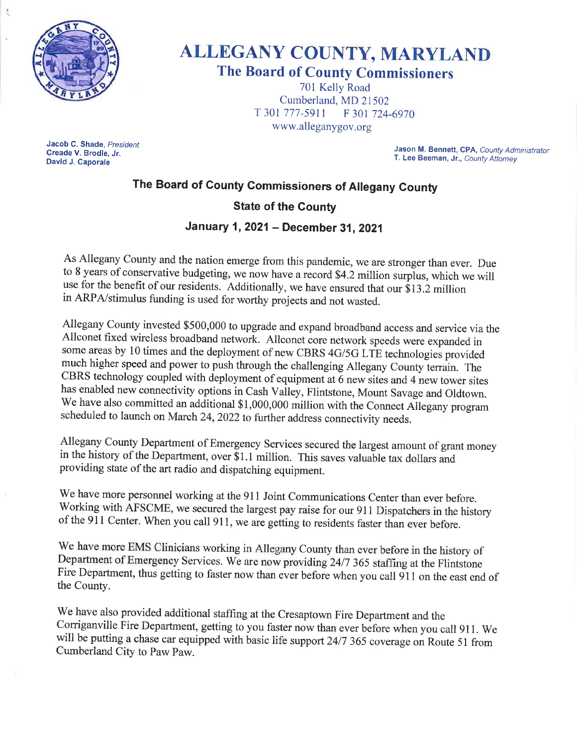

# **ALLEGANY COUNTY, MARYLAND The Board of County Commissioners**

701 Kelly Road Cumberland, MD 21502 T 301 777-5911 F 301 724-6970 www.alleganygov.org

Jacob C. Shade, President Creade V. Brodie, Jr. David J. Caporale

Jason M. Bennett, CPA, County Administrator T. Lee Beeman, Jr., County Attorney

# The Board of County Commissioners of Allegany County

# **State of the County**

# January 1, 2021 - December 31, 2021

As Allegany County and the nation emerge from this pandemic, we are stronger than ever. Due to 8 years of conservative budgeting, we now have a record \$4.2 million surplus, which we will use for the benefit of our residents. Additionally, we have ensured that our \$13.2 million in ARPA/stimulus funding is used for worthy projects and not wasted.

Allegany County invested \$500,000 to upgrade and expand broadband access and service via the Allconet fixed wireless broadband network. Allconet core network speeds were expanded in some areas by 10 times and the deployment of new CBRS 4G/5G LTE technologies provided much higher speed and power to push through the challenging Allegany County terrain. The CBRS technology coupled with deployment of equipment at 6 new sites and 4 new tower sites has enabled new connectivity options in Cash Valley, Flintstone, Mount Savage and Oldtown. We have also committed an additional \$1,000,000 million with the Connect Allegany program scheduled to launch on March 24, 2022 to further address connectivity needs.

Allegany County Department of Emergency Services secured the largest amount of grant money in the history of the Department, over  $\bar{$}1.1$  million. This saves valuable tax dollars and providing state of the art radio and dispatching equipment.

We have more personnel working at the 911 Joint Communications Center than ever before. Working with AFSCME, we secured the largest pay raise for our 911 Dispatchers in the history of the 911 Center. When you call 911, we are getting to residents faster than ever before.

We have more EMS Clinicians working in Allegany County than ever before in the history of Department of Emergency Services. We are now providing 24/7 365 staffing at the Flintstone Fire Department, thus getting to faster now than ever before when you call 911 on the east end of the County.

We have also provided additional staffing at the Cresaptown Fire Department and the Corriganville Fire Department, getting to you faster now than ever before when you call 911. We will be putting a chase car equipped with basic life support 24/7 365 coverage on Route 51 from Cumberland City to Paw Paw.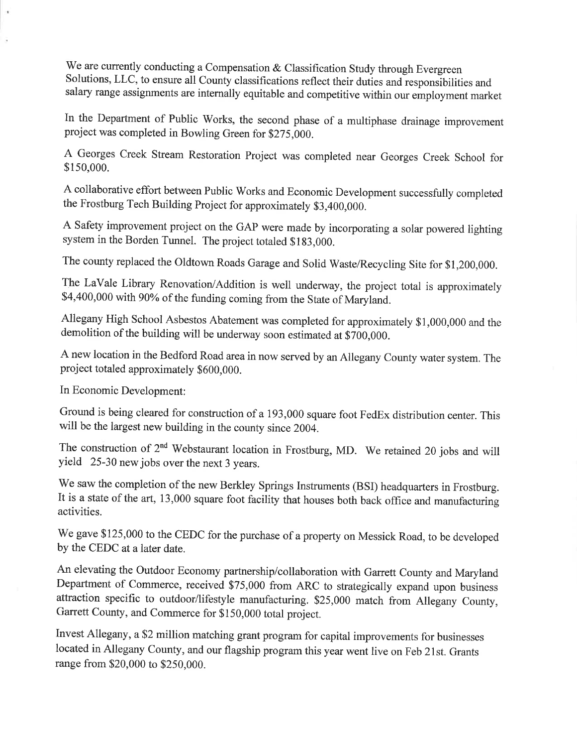We are currently conducting a Compensation & Classification Study through Evergreen Solutions, LLC, to ensure all County classifications reflect their duties and responsibilities and salary range assignments are internally equitable and competitive within our employment market

In the Department of Public Works, the second phase of a multiphase drainage improvement project was completed in Bowling Green for \$275,000.

A Georges Creek Stream Restoration Project was completed near Georges Creek School for \$150,000.

A collaborative effort between Public Works and Economic Development successfully completed the Frostburg Tech Building Project for approximately \$3,400,000.

A Safety improvement project on the GAP were made by incorporating a solar powered lighting system in the Borden Tunnel. The project totaled \$183,000.

The county replaced the Oldtown Roads Garage and Solid Waste/Recycling Site for \$1,200,000.

The LaVale Library Renovation/Addition is well underway, the project total is approximately \$4,400,000 with 90% of the funding coming from the State of Maryland.

Allegany High School Asbestos Abatement was completed for approximately \$1,000,000 and the demolition of the building will be underway soon estimated at \$700,000.

A new location in the Bedford Road area in now served by an Allegany County water system. The project totaled approximately \$600,000.

In Economic Development:

Ground is being cleared for construction of a 193,000 square foot FedEx distribution center. This will be the largest new building in the county since 2004.

The construction of 2<sup>nd</sup> Webstaurant location in Frostburg, MD. We retained 20 jobs and will yield 25-30 new jobs over the next 3 years.

We saw the completion of the new Berkley Springs Instruments (BSI) headquarters in Frostburg. It is a state of the art, 13,000 square foot facility that houses both back office and manufacturing activities.

We gave \$125,000 to the CEDC for the purchase of a property on Messick Road, to be developed by the CEDC at a later date.

An elevating the Outdoor Economy partnership/collaboration with Garrett County and Maryland Department of Commerce, received \$75,000 from ARC to strategically expand upon business attraction specific to outdoor/lifestyle manufacturing. \$25,000 match from Allegany County, Garrett County, and Commerce for \$150,000 total project.

Invest Allegany, a \$2 million matching grant program for capital improvements for businesses located in Allegany County, and our flagship program this year went live on Feb 21st. Grants range from \$20,000 to \$250,000.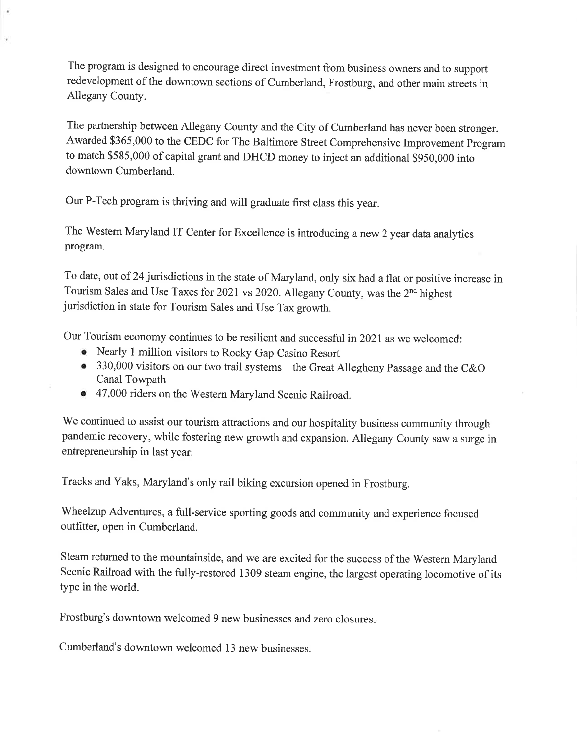The program is designed to encourage direct investment from business owners and to support redevelopment of the downtown sections of Cumberland, Frostburg, and other main streets in Allegany County.

The partnership between Allegany County and the City of Cumberland has never been stronger. Awarded \$365,000 to the CEDC for The Baltimore Street Comprehensive Improvement Program to match \$585,000 of capital grant and DHCD money to inject an additional \$950,000 into downtown Cumberland.

Our P-Tech program is thriving and will graduate first class this year.

The Western Maryland IT Center for Excellence is introducing a new 2 year data analytics program.

To date, out of 24 jurisdictions in the state of Maryland, only six had a flat or positive increase in Tourism Sales and Use Taxes for 2021 vs 2020. Allegany County, was the 2<sup>nd</sup> highest jurisdiction in state for Tourism Sales and Use Tax growth.

Our Tourism economy continues to be resilient and successful in 2021 as we welcomed:

- Nearly 1 million visitors to Rocky Gap Casino Resort
- 330,000 visitors on our two trail systems the Great Allegheny Passage and the C&O **Canal Towpath**
- 47,000 riders on the Western Maryland Scenic Railroad.

We continued to assist our tourism attractions and our hospitality business community through pandemic recovery, while fostering new growth and expansion. Allegany County saw a surge in entrepreneurship in last year:

Tracks and Yaks, Maryland's only rail biking excursion opened in Frostburg.

Wheelzup Adventures, a full-service sporting goods and community and experience focused outfitter, open in Cumberland.

Steam returned to the mountainside, and we are excited for the success of the Western Maryland Scenic Railroad with the fully-restored 1309 steam engine, the largest operating locomotive of its type in the world.

Frostburg's downtown welcomed 9 new businesses and zero closures.

Cumberland's downtown welcomed 13 new businesses.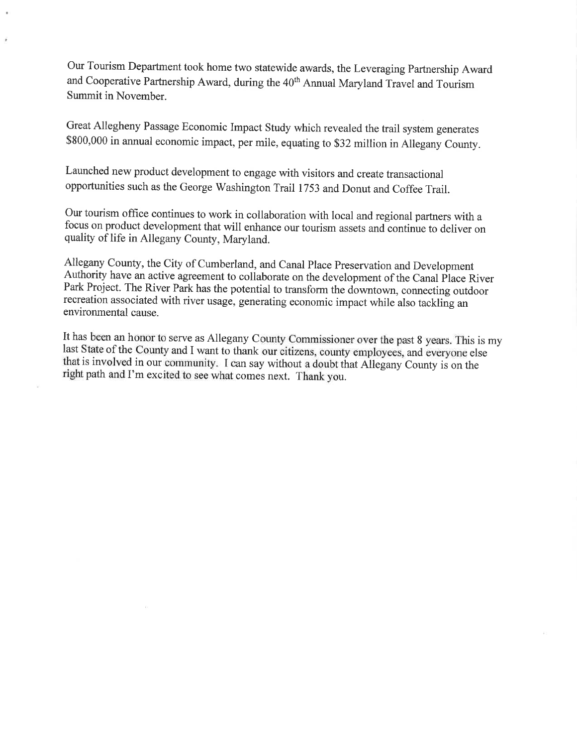Our Tourism Department took home two statewide awards, the Leveraging Partnership Award and Cooperative Partnership Award, during the 40<sup>th</sup> Annual Maryland Travel and Tourism Summit in November.

Great Allegheny Passage Economic Impact Study which revealed the trail system generates \$800,000 in annual economic impact, per mile, equating to \$32 million in Allegany County.

Launched new product development to engage with visitors and create transactional opportunities such as the George Washington Trail 1753 and Donut and Coffee Trail.

Our tourism office continues to work in collaboration with local and regional partners with a focus on product development that will enhance our tourism assets and continue to deliver on quality of life in Allegany County, Maryland.

Allegany County, the City of Cumberland, and Canal Place Preservation and Development Authority have an active agreement to collaborate on the development of the Canal Place River Park Project. The River Park has the potential to transform the downtown, connecting outdoor recreation associated with river usage, generating economic impact while also tackling an environmental cause.

It has been an honor to serve as Allegany County Commissioner over the past 8 years. This is my last State of the County and I want to thank our citizens, county employees, and everyone else that is involved in our community. I can say without a doubt that Allegany County is on the right path and I'm excited to see what comes next. Thank you.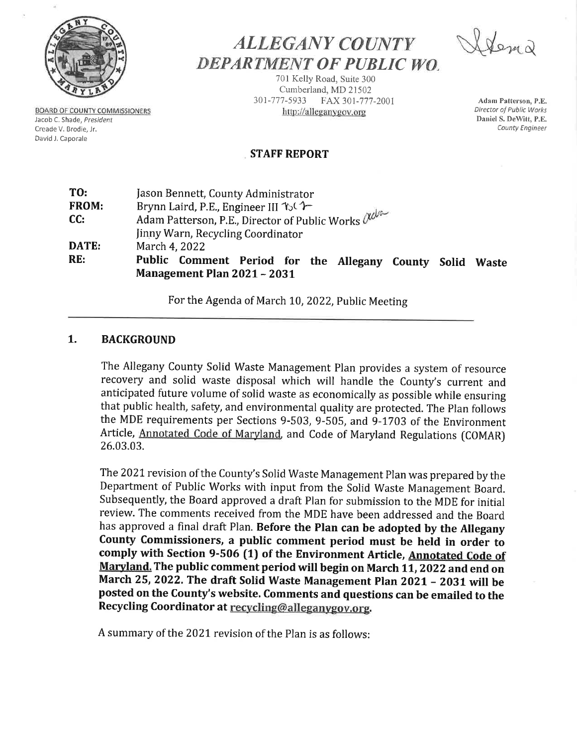

**BOARD OF COUNTY COMMISSIONERS** 

Jacob C. Shade, President

Creade V. Brodie, Jr. David J. Caporale

**ALLEGANY COUNTY** DEPARTMENT OF PUBLIC WO.

701 Kelly Road, Suite 300 Cumberland, MD 21502 301-777-5933 FAX 301-777-2001 http://alleganygov.org

Adam Patterson, P.E. Director of Public Works Daniel S. DeWitt, P.E. County Engineer

# **STAFF REPORT**

| TO:   | Jason Bennett, County Administrator                                                                   |
|-------|-------------------------------------------------------------------------------------------------------|
| FROM: | Brynn Laird, P.E., Engineer III 16                                                                    |
| CC:   | Adam Patterson, P.E., Director of Public Works $\alpha^{abc}$                                         |
|       | Jinny Warn, Recycling Coordinator                                                                     |
| DATE: | March 4, 2022                                                                                         |
| RE:   | Public Comment Period for the Allegany County<br>Solid<br><b>Waste</b><br>Management Plan 2021 - 2031 |

For the Agenda of March 10, 2022, Public Meeting

#### $1.$ **BACKGROUND**

The Allegany County Solid Waste Management Plan provides a system of resource recovery and solid waste disposal which will handle the County's current and anticipated future volume of solid waste as economically as possible while ensuring that public health, safety, and environmental quality are protected. The Plan follows the MDE requirements per Sections 9-503, 9-505, and 9-1703 of the Environment Article, Annotated Code of Maryland, and Code of Maryland Regulations (COMAR) 26.03.03.

The 2021 revision of the County's Solid Waste Management Plan was prepared by the Department of Public Works with input from the Solid Waste Management Board. Subsequently, the Board approved a draft Plan for submission to the MDE for initial review. The comments received from the MDE have been addressed and the Board has approved a final draft Plan. Before the Plan can be adopted by the Allegany County Commissioners, a public comment period must be held in order to comply with Section 9-506 (1) of the Environment Article, Annotated Code of Maryland. The public comment period will begin on March 11, 2022 and end on March 25, 2022. The draft Solid Waste Management Plan 2021 - 2031 will be posted on the County's website. Comments and questions can be emailed to the Recycling Coordinator at recycling@alleganygov.org.

A summary of the 2021 revision of the Plan is as follows: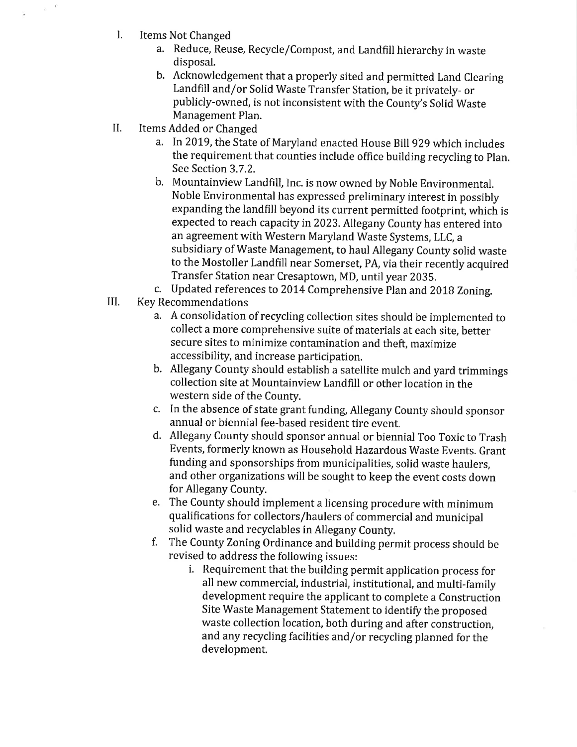$\mathbf{L}$ **Items Not Changed** 

 $_{\odot}$  –  $^{\rm V}$ 

- a. Reduce, Reuse, Recycle/Compost, and Landfill hierarchy in waste disposal.
- b. Acknowledgement that a properly sited and permitted Land Clearing Landfill and/or Solid Waste Transfer Station, be it privately- or publicly-owned, is not inconsistent with the County's Solid Waste Management Plan.
- II. Items Added or Changed
	- a. In 2019, the State of Maryland enacted House Bill 929 which includes the requirement that counties include office building recycling to Plan. See Section 3.7.2.
	- b. Mountainview Landfill, Inc. is now owned by Noble Environmental. Noble Environmental has expressed preliminary interest in possibly expanding the landfill beyond its current permitted footprint, which is expected to reach capacity in 2023. Allegany County has entered into an agreement with Western Maryland Waste Systems, LLC, a subsidiary of Waste Management, to haul Allegany County solid waste to the Mostoller Landfill near Somerset, PA, via their recently acquired Transfer Station near Cresaptown, MD, until year 2035.
	- c. Updated references to 2014 Comprehensive Plan and 2018 Zoning.
- III. **Key Recommendations** 
	- a. A consolidation of recycling collection sites should be implemented to collect a more comprehensive suite of materials at each site, better secure sites to minimize contamination and theft, maximize accessibility, and increase participation.
	- b. Allegany County should establish a satellite mulch and yard trimmings collection site at Mountainview Landfill or other location in the western side of the County.
	- c. In the absence of state grant funding, Allegany County should sponsor annual or biennial fee-based resident tire event.
	- d. Allegany County should sponsor annual or biennial Too Toxic to Trash Events, formerly known as Household Hazardous Waste Events, Grant funding and sponsorships from municipalities, solid waste haulers, and other organizations will be sought to keep the event costs down for Allegany County.
	- e. The County should implement a licensing procedure with minimum qualifications for collectors/haulers of commercial and municipal solid waste and recyclables in Allegany County.
	- f. The County Zoning Ordinance and building permit process should be revised to address the following issues:
		- i. Requirement that the building permit application process for all new commercial, industrial, institutional, and multi-family development require the applicant to complete a Construction Site Waste Management Statement to identify the proposed waste collection location, both during and after construction, and any recycling facilities and/or recycling planned for the development.